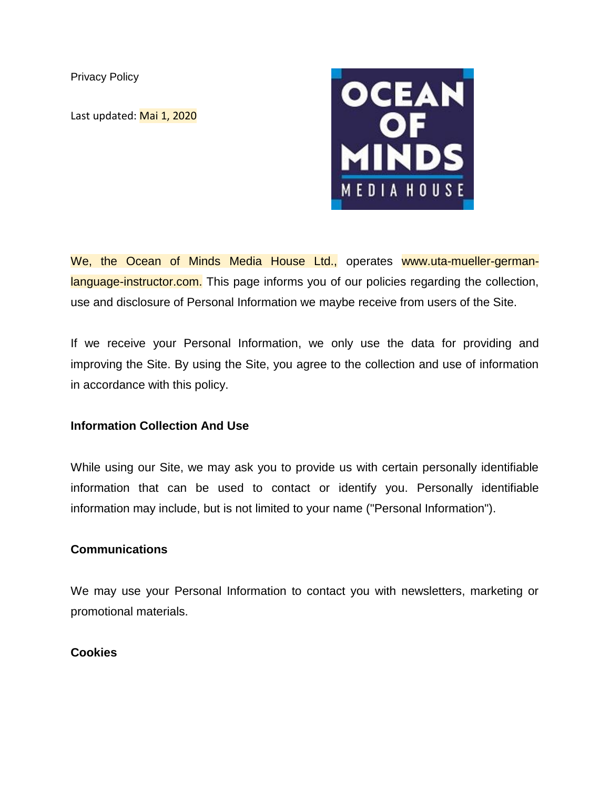Privacy Policy

Last updated: Mai 1, 2020



We, the Ocean of Minds Media House Ltd., operates www.uta-mueller-germanlanguage-instructor.com. This page informs you of our policies regarding the collection, use and disclosure of Personal Information we maybe receive from users of the Site.

If we receive your Personal Information, we only use the data for providing and improving the Site. By using the Site, you agree to the collection and use of information in accordance with this policy.

# **Information Collection And Use**

While using our Site, we may ask you to provide us with certain personally identifiable information that can be used to contact or identify you. Personally identifiable information may include, but is not limited to your name ("Personal Information").

## **Communications**

We may use your Personal Information to contact you with newsletters, marketing or promotional materials.

## **Cookies**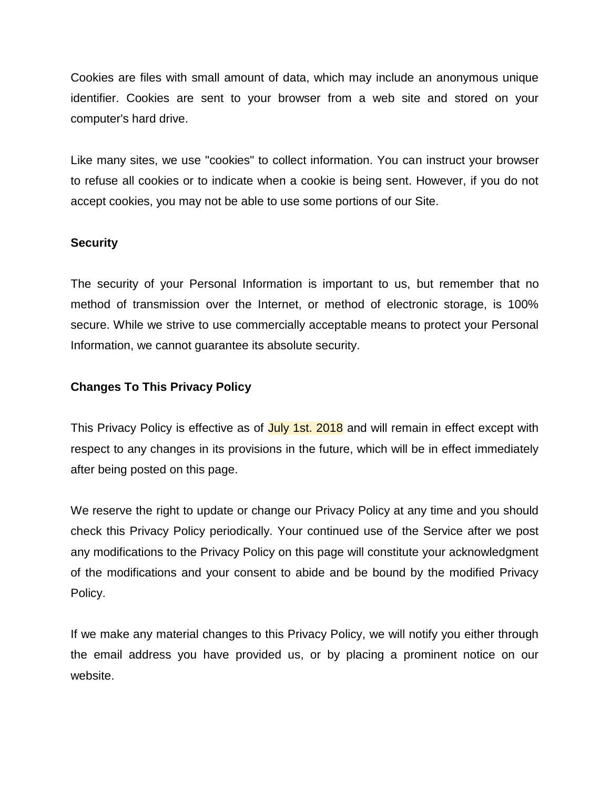Cookies are files with small amount of data, which may include an anonymous unique identifier. Cookies are sent to your browser from a web site and stored on your computer's hard drive.

Like many sites, we use "cookies" to collect information. You can instruct your browser to refuse all cookies or to indicate when a cookie is being sent. However, if you do not accept cookies, you may not be able to use some portions of our Site.

# **Security**

The security of your Personal Information is important to us, but remember that no method of transmission over the Internet, or method of electronic storage, is 100% secure. While we strive to use commercially acceptable means to protect your Personal Information, we cannot guarantee its absolute security.

# **Changes To This Privacy Policy**

This Privacy Policy is effective as of July 1st. 2018 and will remain in effect except with respect to any changes in its provisions in the future, which will be in effect immediately after being posted on this page.

We reserve the right to update or change our Privacy Policy at any time and you should check this Privacy Policy periodically. Your continued use of the Service after we post any modifications to the Privacy Policy on this page will constitute your acknowledgment of the modifications and your consent to abide and be bound by the modified Privacy Policy.

If we make any material changes to this Privacy Policy, we will notify you either through the email address you have provided us, or by placing a prominent notice on our website.